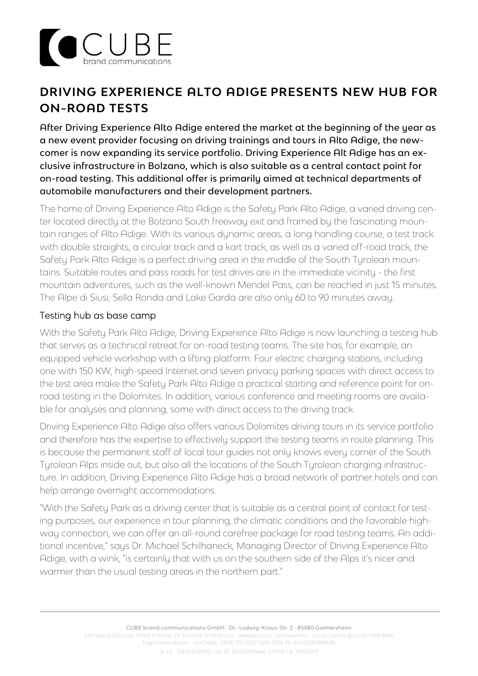

# **DRIVING EXPERIENCE ALTO ADIGE PRESENTS NEW HUB FOR ON-ROAD TESTS**

After Driving Experience Alto Adige entered the market at the beginning of the year as a new event provider focusing on driving trainings and tours in Alto Adige, the newcomer is now expanding its service portfolio. Driving Experience Alt Adige has an exclusive infrastructure in Bolzano, which is also suitable as a central contact point for on-road testing. This additional offer is primarily aimed at technical departments of automobile manufacturers and their development partners.

The home of Driving Experience Alto Adige is the Safety Park Alto Adige, a varied driving center located directly at the Bolzano South freeway exit and framed by the fascinating mountain ranges of Alto Adige. With its various dynamic areas, a long handling course, a test track with double straights, a circular track and a kart track, as well as a varied off-road track, the Safety Park Alto Adige is a perfect driving area in the middle of the South Tyrolean mountains. Suitable routes and pass roads for test drives are in the immediate vicinity - the first mountain adventures, such as the well-known Mendel Pass, can be reached in just 15 minutes. The Alpe di Siusi, Sella Ronda and Lake Garda are also only 60 to 90 minutes away.

## Testing hub as base camp

With the Safety Park Alto Adige, Driving Experience Alto Adige is now launching a testing hub that serves as a technical retreat for on-road testing teams. The site has, for example, an equipped vehicle workshop with a lifting platform. Four electric charging stations, including one with 150 KW, high-speed Internet and seven privacy parking spaces with direct access to the test area make the Safety Park Alto Adige a practical starting and reference point for onroad testing in the Dolomites. In addition, various conference and meeting rooms are available for analyses and planning, some with direct access to the driving track.

Driving Experience Alto Adige also offers various Dolomites driving tours in its service portfolio and therefore has the expertise to effectively support the testing teams in route planning. This is because the permanent staff of local tour guides not only knows every corner of the South Tyrolean Alps inside out, but also all the locations of the South Tyrolean charging infrastructure. In addition, Driving Experience Alto Adige has a broad network of partner hotels and can help arrange overnight accommodations.

"With the Safety Park as a driving center that is suitable as a central point of contact for testing purposes, our experience in tour planning, the climatic conditions and the favorable highway connection, we can offer an all-round carefree package for road testing teams. An additional incentive," says Dr. Michael Schilhaneck, Managing Director of Driving Experience Alto Adige, with a wink, "is certainly that with us on the southern side of the Alps it's nicer and warmer than the usual testing areas in the northern part."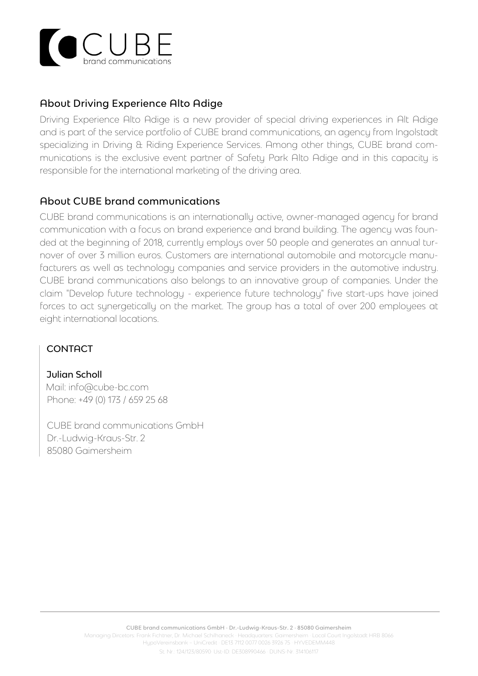

# About Driving Experience Alto Adige

Driving Experience Alto Adige is a new provider of special driving experiences in Alt Adige and is part of the service portfolio of CUBE brand communications, an agency from Ingolstadt specializing in Driving & Riding Experience Services. Among other things, CUBE brand communications is the exclusive event partner of Safety Park Alto Adige and in this capacity is responsible for the international marketing of the driving area.

## About CUBE brand communications

CUBE brand communications is an internationally active, owner-managed agency for brand communication with a focus on brand experience and brand building. The agency was founded at the beginning of 2018, currently employs over 50 people and generates an annual turnover of over 3 million euros. Customers are international automobile and motorcycle manufacturers as well as technology companies and service providers in the automotive industry. CUBE brand communications also belongs to an innovative group of companies. Under the claim "Develop future technology - experience future technology" five start-ups have joined forces to act synergetically on the market. The group has a total of over 200 employees at eight international locations.

#### **CONTACT**

 Julian Scholl Mail: info@cube-bc.com Phone: +49 (0) 173 / 659 25 68

 CUBE brand communications GmbH Dr.-Ludwig-Kraus-Str. 2 85080 Gaimersheim